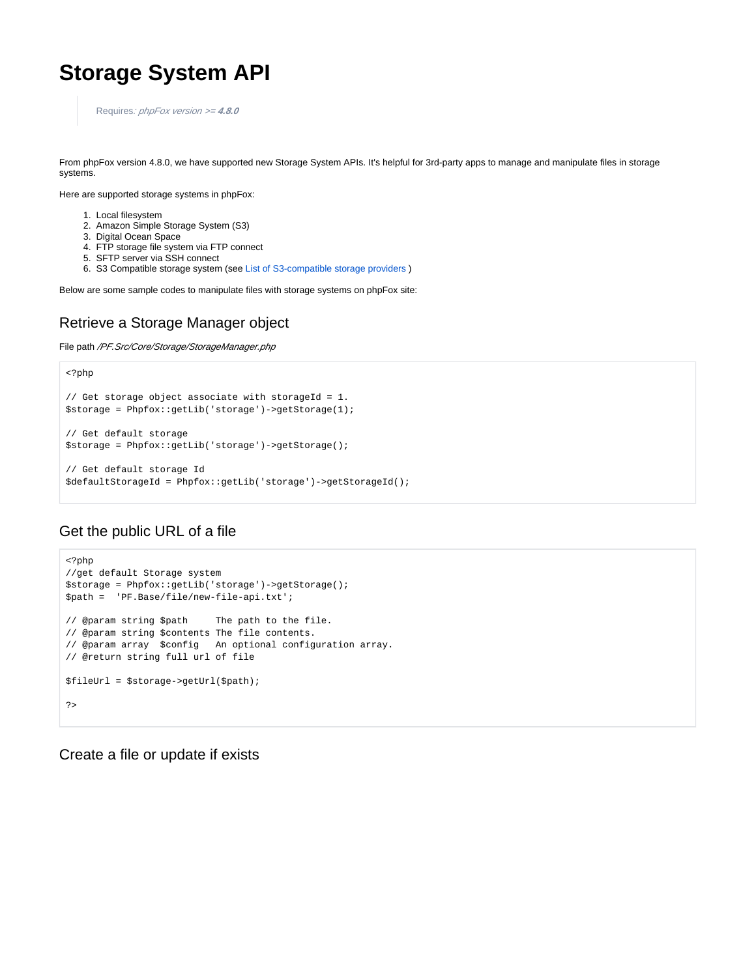# **Storage System API**

Requires: phpFox version >= **4.8.0**

From phpFox version 4.8.0, we have supported new Storage System APIs. It's helpful for 3rd-party apps to manage and manipulate files in storage systems.

Here are supported storage systems in phpFox:

- 1. Local filesystem
- 2. Amazon Simple Storage System (S3)
- 3. Digital Ocean Space
- 4. FTP storage file system via FTP connect
- 5. SFTP server via SSH connect
- 6. S3 Compatible storage system (see [List of S3-compatible storage providers](https://help.servmask.com/knowledgebase/list-of-s3-compatible-storage-providers/) )

Below are some sample codes to manipulate files with storage systems on phpFox site:

#### Retrieve a Storage Manager object

File path /PF.Src/Core/Storage/StorageManager.php

```
<?php
// Get storage object associate with storageId = 1.
$storage = Phpfox::getLib('storage')->getStorage(1);
// Get default storage
$storage = Phpfox::getLib('storage')->getStorage();
// Get default storage Id
$defaultStorageId = Phpfox::getLib('storage')->getStorageId();
```
#### Get the public URL of a file

```
<?php
//get default Storage system
$storage = Phpfox::getLib('storage')->getStorage(); 
$path = 'PF.Base/file/new-file-api.txt';
// @param string $path The path to the file.
// @param string $contents The file contents.
// @param array $config An optional configuration array.
// @return string full url of file
$fileUrl = $storage->getUrl($path);
\overline{2}
```
Create a file or update if exists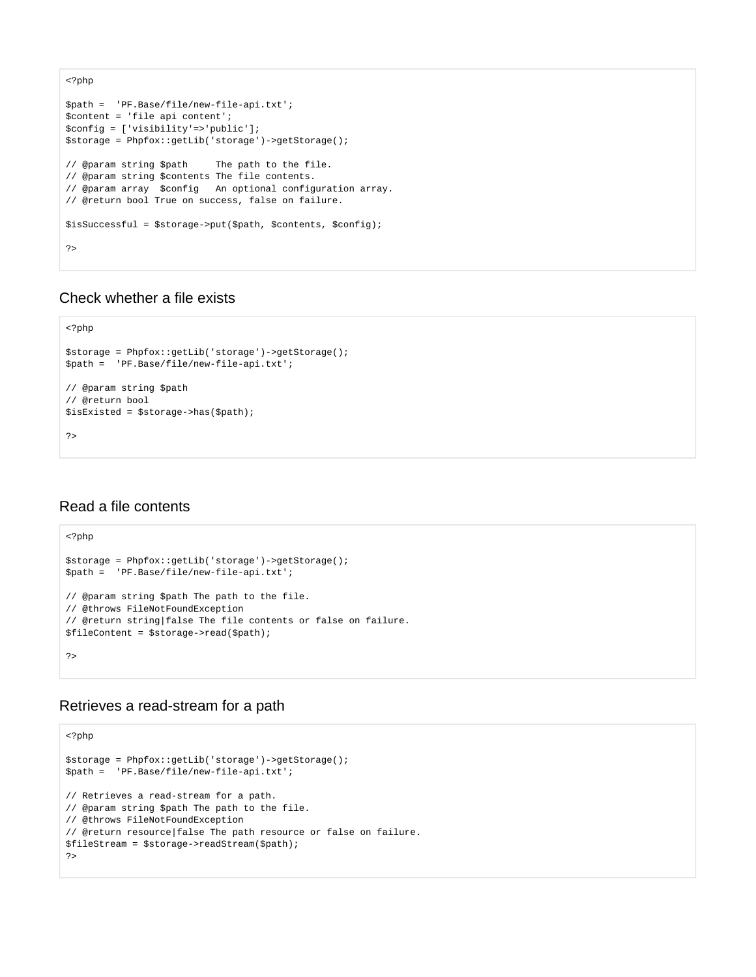```
<?php
$path = 'PF.Base/file/new-file-api.txt';
$content = 'file api content';
$config = ['visibility'=>'public'];
$storage = Phpfox::getLib('storage')->getStorage();
// @param string $path The path to the file.
// @param string $contents The file contents.
// @param array $config An optional configuration array.
// @return bool True on success, false on failure.
$isSuccessful = $storage->put($path, $contents, $config);
?>
```
## Check whether a file exists

```
<?php
$storage = Phpfox::getLib('storage')->getStorage();
$path = 'PF.Base/file/new-file-api.txt';
// @param string $path
// @return bool
$isExisted = $storage->has($path);
?>
```
## Read a file contents

```
<?php
$storage = Phpfox::getLib('storage')->getStorage();
$path = 'PF.Base/file/new-file-api.txt';
// @param string $path The path to the file.
// @throws FileNotFoundException
// @return string|false The file contents or false on failure.
$fileContent = $storage->read($path);
?>
```
#### Retrieves a read-stream for a path

```
<?php
$storage = Phpfox::getLib('storage')->getStorage();
$path = 'PF.Base/file/new-file-api.txt';
// Retrieves a read-stream for a path.
// @param string $path The path to the file.
// @throws FileNotFoundException
// @return resource|false The path resource or false on failure.
$fileStream = $storage->readStream($path);
?>
```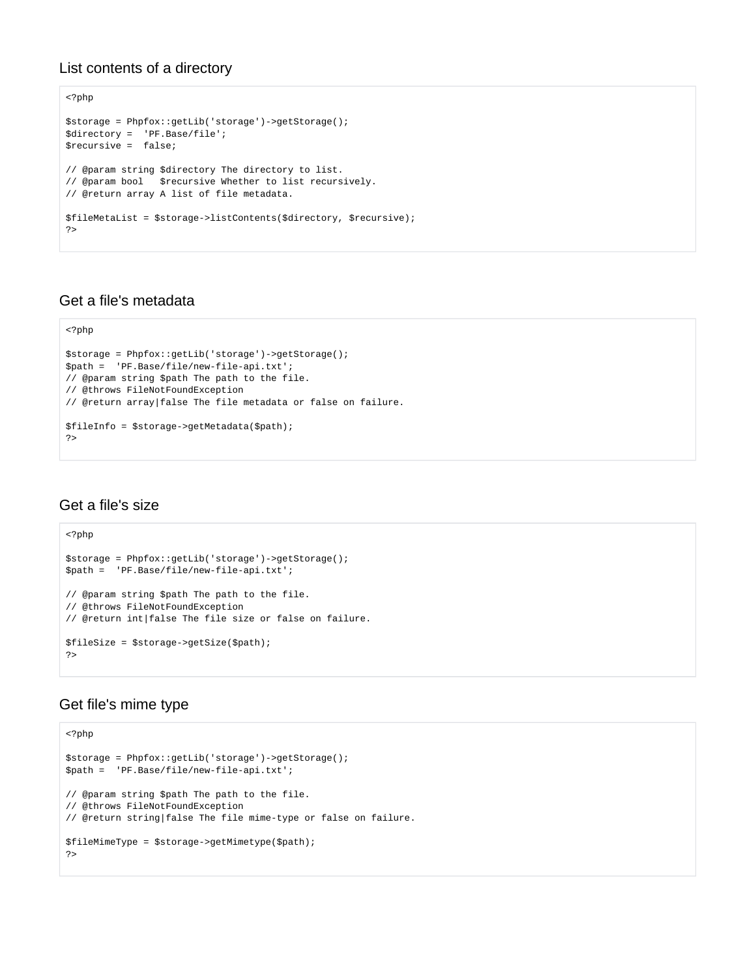#### List contents of a directory

```
<?php
$storage = Phpfox::getLib('storage')->getStorage();
$directory = 'PF.Base/file';
$recursive = false;
// @param string $directory The directory to list.
// @param bool $recursive Whether to list recursively.
// @return array A list of file metadata.
$fileMetaList = $storage->listContents($directory, $recursive);
?>
```
## Get a file's metadata

```
<?php
$storage = Phpfox::getLib('storage')->getStorage();
$path = 'PF.Base/file/new-file-api.txt';
// @param string $path The path to the file.
// @throws FileNotFoundException
// @return array|false The file metadata or false on failure.
$fileInfo = $storage->getMetadata($path);
?>
```
# Get a file's size

```
<?php
$storage = Phpfox::getLib('storage')->getStorage();
$path = 'PF.Base/file/new-file-api.txt';
// @param string $path The path to the file.
// @throws FileNotFoundException
// @return int|false The file size or false on failure.
$fileSize = $storage->getSize($path);
?>
```
## Get file's mime type

```
<?php
$storage = Phpfox::getLib('storage')->getStorage();
$path = 'PF.Base/file/new-file-api.txt';
// @param string $path The path to the file.
// @throws FileNotFoundException
// @return string|false The file mime-type or false on failure.
$fileMimeType = $storage->getMimetype($path);
?>
```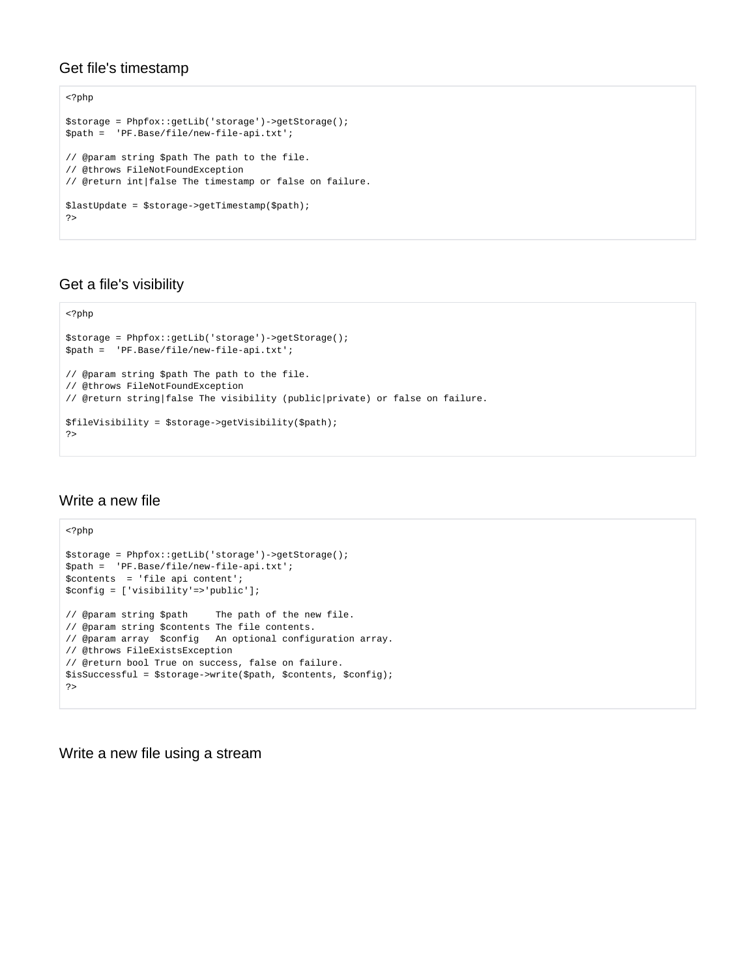## Get file's timestamp

```
<?php
$storage = Phpfox::getLib('storage')->getStorage();
$path = 'PF.Base/file/new-file-api.txt';
// @param string $path The path to the file.
// @throws FileNotFoundException
// @return int|false The timestamp or false on failure.
$lastUpdate = $storage->getTimestamp($path);
?>
```
## Get a file's visibility

```
<?php
$storage = Phpfox::getLib('storage')->getStorage();
$path = 'PF.Base/file/new-file-api.txt';
// @param string $path The path to the file.
// @throws FileNotFoundException
// @return string|false The visibility (public|private) or false on failure.
$fileVisibility = $storage->getVisibility($path);
?>
```
## Write a new file

```
<?php
$storage = Phpfox::getLib('storage')->getStorage();
$path = 'PF.Base/file/new-file-api.txt';
$contents = 'file api content';
$config = ['visibility'=>'public'];
// @param string $path The path of the new file.
// @param string $contents The file contents.
// @param array $config An optional configuration array.
// @throws FileExistsException
// @return bool True on success, false on failure.
$isSuccessful = $storage->write($path, $contents, $config);
?>
```
Write a new file using a stream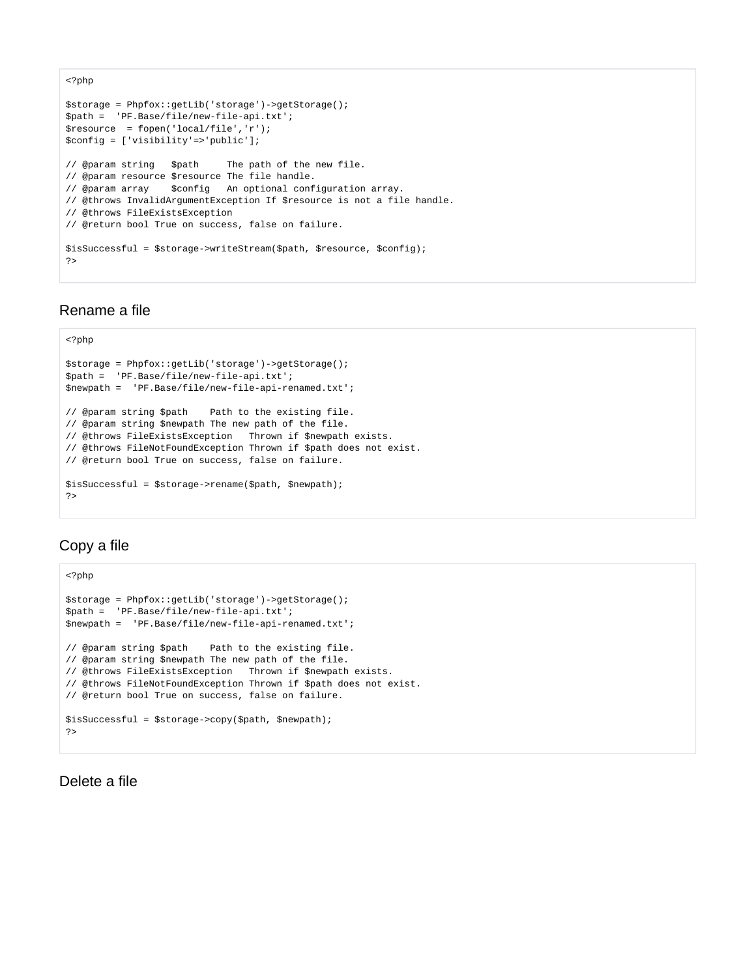```
<?php
$storage = Phpfox::getLib('storage')->getStorage();
$path = 'PF.Base/file/new-file-api.txt';
$resource = fopen('local/file','r');
$config = ['visibility'=>'public'];
// @param string $path The path of the new file.
// @param resource $resource The file handle.
// @param array $config An optional configuration array.
// @throws InvalidArgumentException If $resource is not a file handle.
// @throws FileExistsException
// @return bool True on success, false on failure.
$isSuccessful = $storage->writeStream($path, $resource, $config);
?>
```
#### Rename a file

#### <?php \$storage = Phpfox::getLib('storage')->getStorage(); \$path = 'PF.Base/file/new-file-api.txt'; \$newpath = 'PF.Base/file/new-file-api-renamed.txt'; // @param string \$path Path to the existing file. // @param string \$newpath The new path of the file. // @throws FileExistsException Thrown if \$newpath exists. // @throws FileNotFoundException Thrown if \$path does not exist. // @return bool True on success, false on failure. \$isSuccessful = \$storage->rename(\$path, \$newpath); ?>

## Copy a file

```
<?php
$storage = Phpfox::getLib('storage')->getStorage();
$path = 'PF.Base/file/new-file-api.txt';
$newpath = 'PF.Base/file/new-file-api-renamed.txt';
// @param string $path Path to the existing file.
// @param string $newpath The new path of the file.
// @throws FileExistsException Thrown if $newpath exists.
// @throws FileNotFoundException Thrown if $path does not exist.
// @return bool True on success, false on failure.
$isSuccessful = $storage->copy($path, $newpath);
?>
```
Delete a file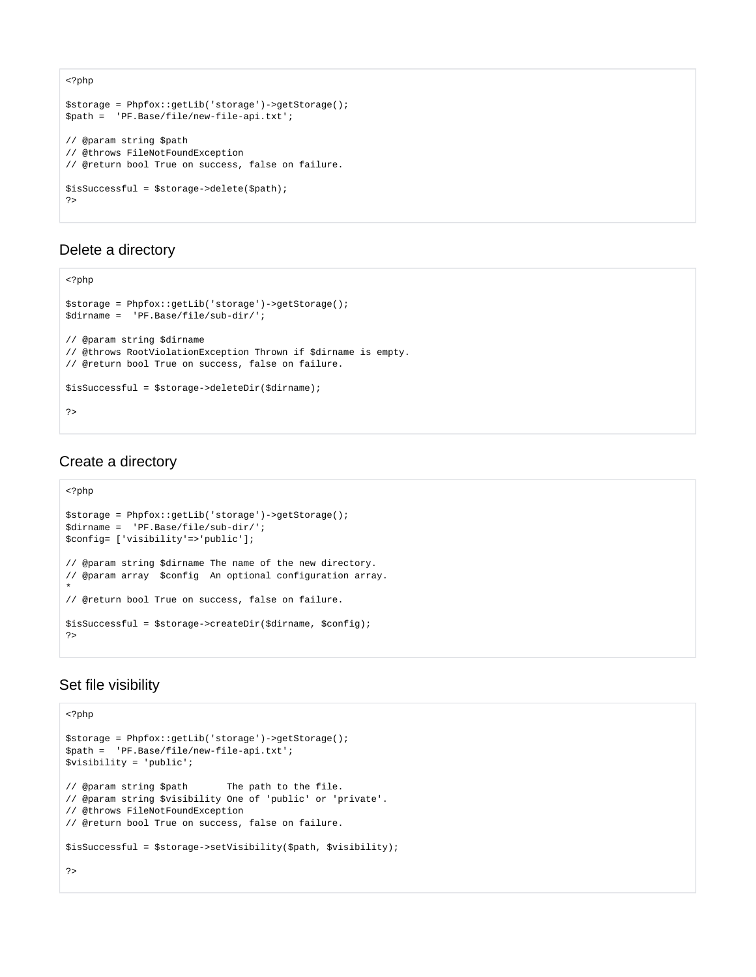```
<?php
$storage = Phpfox::getLib('storage')->getStorage();
$path = 'PF.Base/file/new-file-api.txt';
// @param string $path
// @throws FileNotFoundException
// @return bool True on success, false on failure.
$isSuccessful = $storage->delete($path);
?>
```
## Delete a directory

```
<?php
$storage = Phpfox::getLib('storage')->getStorage();
$dirname = 'PF.Base/file/sub-dir/';
// @param string $dirname
// @throws RootViolationException Thrown if $dirname is empty.
// @return bool True on success, false on failure.
$isSuccessful = $storage->deleteDir($dirname);
?>
```
# Create a directory

```
<?php
$storage = Phpfox::getLib('storage')->getStorage();
$dirname = 'PF.Base/file/sub-dir/';
$config= ['visibility'=>'public'];
// @param string $dirname The name of the new directory.
// @param array $config An optional configuration array.
*
// @return bool True on success, false on failure.
$isSuccessful = $storage->createDir($dirname, $config);
?>
```
# Set file visibility

```
<?php
$storage = Phpfox::getLib('storage')->getStorage();
$path = 'PF.Base/file/new-file-api.txt';
$visibility = 'public';
// @param string $path The path to the file.
// @param string $visibility One of 'public' or 'private'.
// @throws FileNotFoundException
// @return bool True on success, false on failure.
$isSuccessful = $storage->setVisibility($path, $visibility);
?>
```